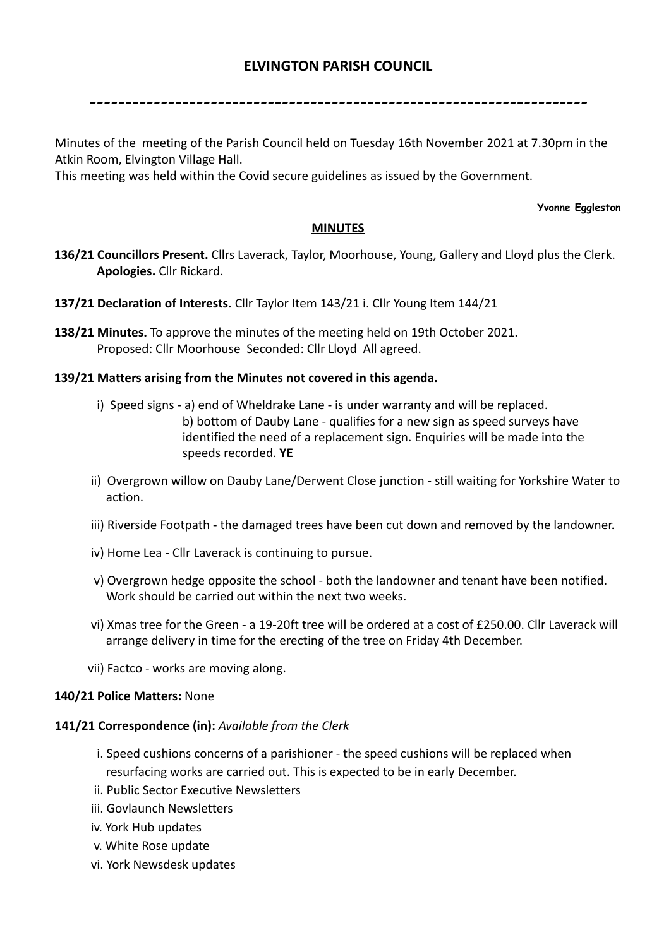# **ELVINGTON PARISH COUNCIL**

----------------------------------------------------------------------

Minutes of the meeting of the Parish Council held on Tuesday 16th November 2021 at 7.30pm in the Atkin Room, Elvington Village Hall.

This meeting was held within the Covid secure guidelines as issued by the Government.

#### **Yvonne Eggleston**

## **MINUTES**

- **136/21 Councillors Present.** Cllrs Laverack, Taylor, Moorhouse, Young, Gallery and Lloyd plus the Clerk. **Apologies.** Cllr Rickard.
- **137/21 Declaration of Interests.** Cllr Taylor Item 143/21 i. Cllr Young Item 144/21
- **138/21 Minutes.** To approve the minutes of the meeting held on 19th October 2021. Proposed: Cllr Moorhouse Seconded: Cllr Lloyd All agreed.

## **139/21 Matters arising from the Minutes not covered in this agenda.**

- i) Speed signs a) end of Wheldrake Lane is under warranty and will be replaced. b) bottom of Dauby Lane - qualifies for a new sign as speed surveys have identified the need of a replacement sign. Enquiries will be made into the speeds recorded. **YE**
- ii) Overgrown willow on Dauby Lane/Derwent Close junction still waiting for Yorkshire Water to action.
- iii) Riverside Footpath the damaged trees have been cut down and removed by the landowner.
- iv) Home Lea Cllr Laverack is continuing to pursue.
- v) Overgrown hedge opposite the school both the landowner and tenant have been notified. Work should be carried out within the next two weeks.
- vi) Xmas tree for the Green a 19-20ft tree will be ordered at a cost of £250.00. Cllr Laverack will arrange delivery in time for the erecting of the tree on Friday 4th December.
- vii) Factco works are moving along.

## **140/21 Police Matters:** None

## **141/21 Correspondence (in):** *Available from the Clerk*

- i. Speed cushions concerns of a parishioner the speed cushions will be replaced when resurfacing works are carried out. This is expected to be in early December.
- ii. Public Sector Executive Newsletters
- iii. Govlaunch Newsletters
- iv. York Hub updates
- v. White Rose update
- vi. York Newsdesk updates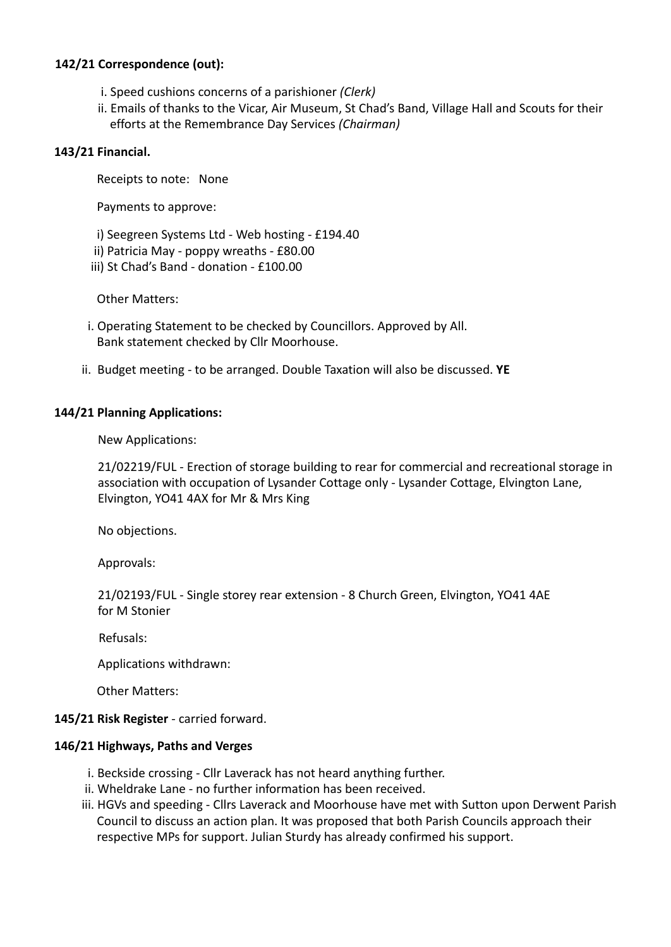# **142/21 Correspondence (out):**

- i. Speed cushions concerns of a parishioner *(Clerk)*
- ii. Emails of thanks to the Vicar, Air Museum, St Chad's Band, Village Hall and Scouts for their efforts at the Remembrance Day Services *(Chairman)*

## **143/21 Financial.**

Receipts to note: None

Payments to approve:

- i) Seegreen Systems Ltd Web hosting £194.40
- ii) Patricia May poppy wreaths £80.00
- iii) St Chad's Band donation £100.00

Other Matters:

- i. Operating Statement to be checked by Councillors. Approved by All. Bank statement checked by Cllr Moorhouse.
- ii. Budget meeting to be arranged. Double Taxation will also be discussed. **YE**

# **144/21 Planning Applications:**

New Applications:

21/02219/FUL - Erection of storage building to rear for commercial and recreational storage in association with occupation of Lysander Cottage only - Lysander Cottage, Elvington Lane, Elvington, YO41 4AX for Mr & Mrs King

No objections.

Approvals:

21/02193/FUL - Single storey rear extension - 8 Church Green, Elvington, YO41 4AE for M Stonier

Refusals:

Applications withdrawn:

Other Matters:

## **145/21 Risk Register** - carried forward.

## **146/21 Highways, Paths and Verges**

- i. Beckside crossing Cllr Laverack has not heard anything further.
- ii. Wheldrake Lane no further information has been received.
- iii. HGVs and speeding Cllrs Laverack and Moorhouse have met with Sutton upon Derwent Parish Council to discuss an action plan. It was proposed that both Parish Councils approach their respective MPs for support. Julian Sturdy has already confirmed his support.